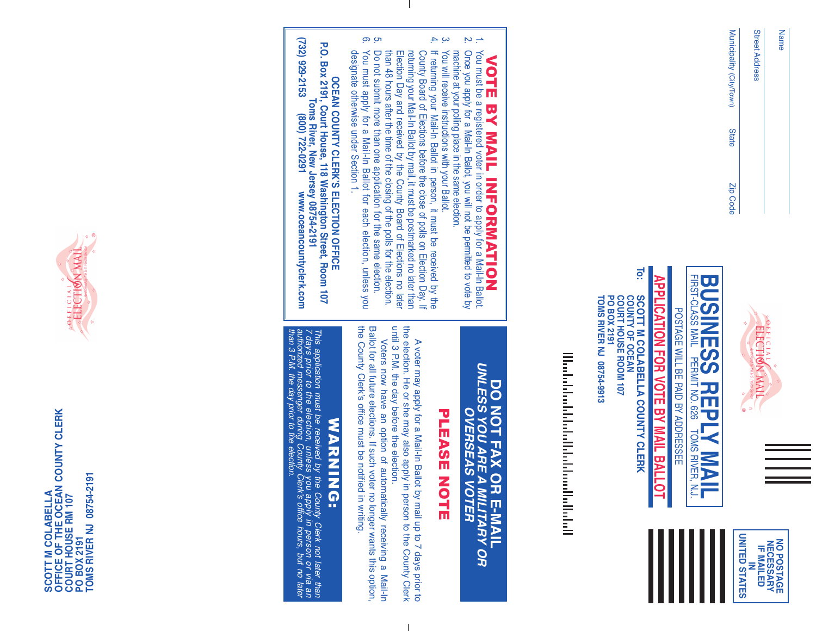| ۰.<br>ã |
|---------|
|         |

Street Address Municipality Municipality (City/Town) **State** Zip Code







POSTAGE  $\geq$ 몸 PAID<br>D 耍 ADDRESSEE

### **To: CLERK APPLICATION FOR VOTE BY** M<br>F **BALLOT**

**SCOTT M COLABELLA COUNTY COUNTY OF OCEAN COURT HOUSE ROOM 107 PO BOX 2191 TOMS RIVER** <u>ج</u> **08754-9913**

<u>Markethalan bir bahasa kelahan Bahasa Ba</u>

#### VOTE 四<br>人 M<br>N<br>T INFORMATION a<br>M must be a registered voter 2. order ಕ apply for a Mail-In Ballot.

- $\sim$   $\rightarrow$ Once you apply for a Mail-In Ballot, you will not  $\Xi$ permitted to රු $\frac{1}{2}$ হ election.
- machine  $\overline{\mathbf{a}}$ your polling place in the same ≷<br>S  $\stackrel{\leq}{=}$ receive instructions ≫ith Ballot.
- ب ج your If returning your Mail-In Ballot 2. person, it must  $\Xi$ received হ te<br>a County Board q Elections before the close q polls g Election Day. ᆕ returning your Mail-In Ballot হ mail, it must  $\Xi$ postmarked no later than
- Election Day and received হ te<br>a County Board ቧ Elections no later than 48 hours after the time q the closing q the polls for the election. Do not submit more than one application for the same election.
- . თ y<br>S must apply for a Mail-In Ballot for each election, unless you designate otherwise under Section <u>ب</u>
- **OCEAN COUNTY CLERK'S ELECTION OFFICE P.O. Box 2191, Court House, 118 Washington Street, Room 107**

**(732) 929-2153 Toms (800) River, 722-0291 New Jersey www.oceancountyclerk.com** www.oceancountyclerk.com **08754-2191**

#### **DO NOT FAX OR E-MAIL** *UNLESS YOU ARE A MILITARY OR OVERSEAS VOTER*

## PLEASE PLEASE NOTE

A voter may apply for a Mail-In Ballot হ mail 등 to 7 days prior to the election. 공 or she may also apply  $\Xi$ : person  $\overline{\circ}$ the County Clerk until 3 P.M. the day before the election.

Voters now have ۹E option of automatically receiving a Mail-In Ballot for  $\overset{\mathsf{p}}{=}$ future elections. If such voter no longer wants this option, the County Clerk's office must  $\Xi$ notified  $\Xi$ : writing.

## WARNING: ミヌヌニ NG:

*This application must be received by the County Clerk not later than 7 days prior to the election, unless you apply in person or via an authorized messenger during County Clerk's office hours, but no later than 3 P.M. the day prior to the election.*



**SCOTT M COLABELLA<br>OFFICE OF THE OCEAN COUNTY CLERK<br>COURT HOUSE RM 107<br>PO BOX 2191<br>TOMS RIVER NJ 08754-2191 OFFICE OF THE OCEAN COUNTY CLERK TOMS RIVER NJ 08754-2191 SCOTT M COLABELLA COURT HOUSE RM 107 PO BOX 2191**